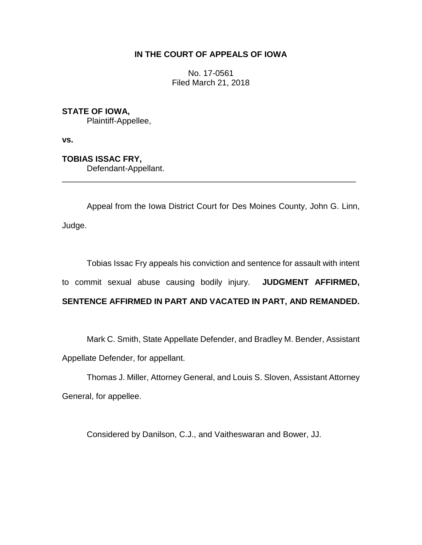## **IN THE COURT OF APPEALS OF IOWA**

No. 17-0561 Filed March 21, 2018

# **STATE OF IOWA,**

Plaintiff-Appellee,

**vs.**

**TOBIAS ISSAC FRY,**

Defendant-Appellant.

Appeal from the Iowa District Court for Des Moines County, John G. Linn, Judge.

\_\_\_\_\_\_\_\_\_\_\_\_\_\_\_\_\_\_\_\_\_\_\_\_\_\_\_\_\_\_\_\_\_\_\_\_\_\_\_\_\_\_\_\_\_\_\_\_\_\_\_\_\_\_\_\_\_\_\_\_\_\_\_\_

Tobias Issac Fry appeals his conviction and sentence for assault with intent to commit sexual abuse causing bodily injury. **JUDGMENT AFFIRMED, SENTENCE AFFIRMED IN PART AND VACATED IN PART, AND REMANDED.**

Mark C. Smith, State Appellate Defender, and Bradley M. Bender, Assistant Appellate Defender, for appellant.

Thomas J. Miller, Attorney General, and Louis S. Sloven, Assistant Attorney General, for appellee.

Considered by Danilson, C.J., and Vaitheswaran and Bower, JJ.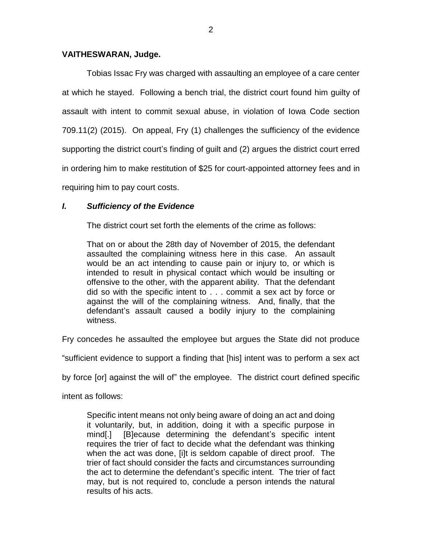## **VAITHESWARAN, Judge.**

Tobias Issac Fry was charged with assaulting an employee of a care center at which he stayed. Following a bench trial, the district court found him guilty of assault with intent to commit sexual abuse, in violation of Iowa Code section 709.11(2) (2015). On appeal, Fry (1) challenges the sufficiency of the evidence supporting the district court's finding of guilt and (2) argues the district court erred in ordering him to make restitution of \$25 for court-appointed attorney fees and in requiring him to pay court costs.

# *I. Sufficiency of the Evidence*

The district court set forth the elements of the crime as follows:

That on or about the 28th day of November of 2015, the defendant assaulted the complaining witness here in this case. An assault would be an act intending to cause pain or injury to, or which is intended to result in physical contact which would be insulting or offensive to the other, with the apparent ability. That the defendant did so with the specific intent to . . . commit a sex act by force or against the will of the complaining witness. And, finally, that the defendant's assault caused a bodily injury to the complaining witness.

Fry concedes he assaulted the employee but argues the State did not produce

"sufficient evidence to support a finding that [his] intent was to perform a sex act

by force [or] against the will of" the employee. The district court defined specific

intent as follows:

Specific intent means not only being aware of doing an act and doing it voluntarily, but, in addition, doing it with a specific purpose in mind[.] [B]ecause determining the defendant's specific intent requires the trier of fact to decide what the defendant was thinking when the act was done, [i]t is seldom capable of direct proof. The trier of fact should consider the facts and circumstances surrounding the act to determine the defendant's specific intent. The trier of fact may, but is not required to, conclude a person intends the natural results of his acts.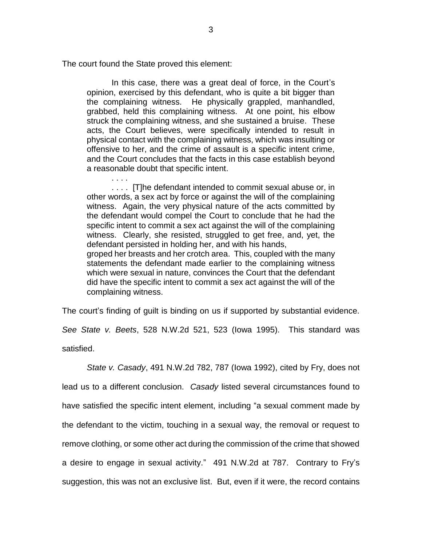The court found the State proved this element:

. . . .

In this case, there was a great deal of force, in the Court's opinion, exercised by this defendant, who is quite a bit bigger than the complaining witness. He physically grappled, manhandled, grabbed, held this complaining witness. At one point, his elbow struck the complaining witness, and she sustained a bruise. These acts, the Court believes, were specifically intended to result in physical contact with the complaining witness, which was insulting or offensive to her, and the crime of assault is a specific intent crime, and the Court concludes that the facts in this case establish beyond a reasonable doubt that specific intent.

. . . . [T]he defendant intended to commit sexual abuse or, in other words, a sex act by force or against the will of the complaining witness. Again, the very physical nature of the acts committed by the defendant would compel the Court to conclude that he had the specific intent to commit a sex act against the will of the complaining witness. Clearly, she resisted, struggled to get free, and, yet, the defendant persisted in holding her, and with his hands, groped her breasts and her crotch area. This, coupled with the many statements the defendant made earlier to the complaining witness

which were sexual in nature, convinces the Court that the defendant did have the specific intent to commit a sex act against the will of the complaining witness.

The court's finding of guilt is binding on us if supported by substantial evidence. *See State v. Beets*, 528 N.W.2d 521, 523 (Iowa 1995). This standard was

satisfied.

*State v. Casady*, 491 N.W.2d 782, 787 (Iowa 1992), cited by Fry, does not lead us to a different conclusion. *Casady* listed several circumstances found to have satisfied the specific intent element, including "a sexual comment made by the defendant to the victim, touching in a sexual way, the removal or request to remove clothing, or some other act during the commission of the crime that showed a desire to engage in sexual activity." 491 N.W.2d at 787. Contrary to Fry's suggestion, this was not an exclusive list. But, even if it were, the record contains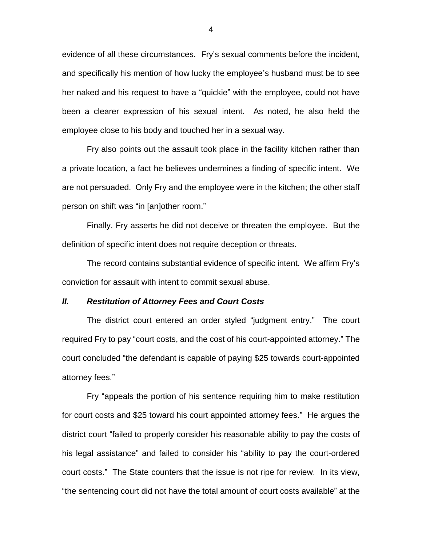evidence of all these circumstances. Fry's sexual comments before the incident, and specifically his mention of how lucky the employee's husband must be to see her naked and his request to have a "quickie" with the employee, could not have been a clearer expression of his sexual intent. As noted, he also held the employee close to his body and touched her in a sexual way.

Fry also points out the assault took place in the facility kitchen rather than a private location, a fact he believes undermines a finding of specific intent. We are not persuaded. Only Fry and the employee were in the kitchen; the other staff person on shift was "in [an]other room."

Finally, Fry asserts he did not deceive or threaten the employee. But the definition of specific intent does not require deception or threats.

The record contains substantial evidence of specific intent. We affirm Fry's conviction for assault with intent to commit sexual abuse.

#### *II. Restitution of Attorney Fees and Court Costs*

The district court entered an order styled "judgment entry." The court required Fry to pay "court costs, and the cost of his court-appointed attorney." The court concluded "the defendant is capable of paying \$25 towards court-appointed attorney fees."

Fry "appeals the portion of his sentence requiring him to make restitution for court costs and \$25 toward his court appointed attorney fees." He argues the district court "failed to properly consider his reasonable ability to pay the costs of his legal assistance" and failed to consider his "ability to pay the court-ordered court costs." The State counters that the issue is not ripe for review. In its view, "the sentencing court did not have the total amount of court costs available" at the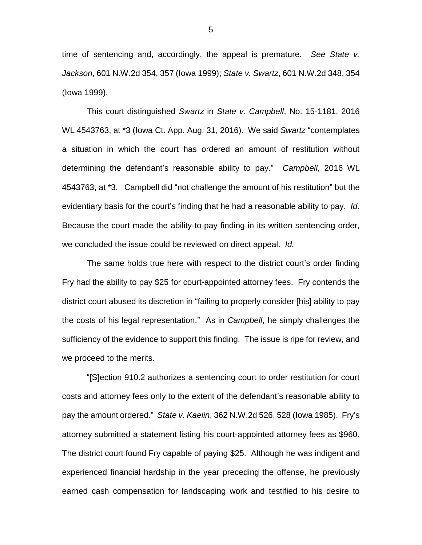time of sentencing and, accordingly, the appeal is premature. *See State v. Jackson*, 601 N.W.2d 354, 357 (Iowa 1999); *State v. Swartz*, 601 N.W.2d 348, 354 (Iowa 1999).

This court distinguished *Swartz* in *State v. Campbell*, No. 15-1181, 2016 WL 4543763, at \*3 (Iowa Ct. App. Aug. 31, 2016). We said *Swartz* "contemplates a situation in which the court has ordered an amount of restitution without determining the defendant's reasonable ability to pay." *Campbell*, 2016 WL 4543763, at \*3. Campbell did "not challenge the amount of his restitution" but the evidentiary basis for the court's finding that he had a reasonable ability to pay. *Id.* Because the court made the ability-to-pay finding in its written sentencing order, we concluded the issue could be reviewed on direct appeal. *Id.*

The same holds true here with respect to the district court's order finding Fry had the ability to pay \$25 for court-appointed attorney fees. Fry contends the district court abused its discretion in "failing to properly consider [his] ability to pay the costs of his legal representation." As in *Campbell*, he simply challenges the sufficiency of the evidence to support this finding. The issue is ripe for review, and we proceed to the merits.

"[S]ection 910.2 authorizes a sentencing court to order restitution for court costs and attorney fees only to the extent of the defendant's reasonable ability to pay the amount ordered." *State v. Kaelin*, 362 N.W.2d 526, 528 (Iowa 1985). Fry's attorney submitted a statement listing his court-appointed attorney fees as \$960. The district court found Fry capable of paying \$25. Although he was indigent and experienced financial hardship in the year preceding the offense, he previously earned cash compensation for landscaping work and testified to his desire to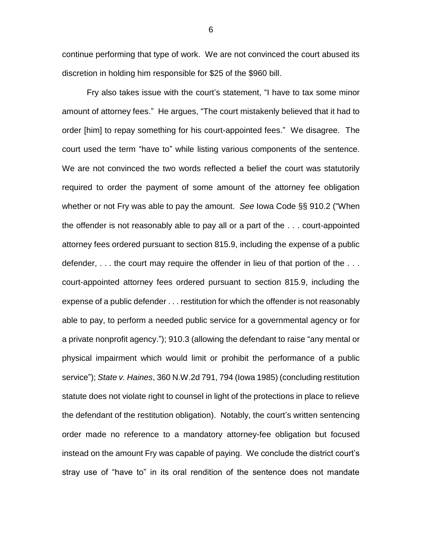continue performing that type of work. We are not convinced the court abused its discretion in holding him responsible for \$25 of the \$960 bill.

Fry also takes issue with the court's statement, "I have to tax some minor amount of attorney fees." He argues, "The court mistakenly believed that it had to order [him] to repay something for his court-appointed fees." We disagree. The court used the term "have to" while listing various components of the sentence. We are not convinced the two words reflected a belief the court was statutorily required to order the payment of some amount of the attorney fee obligation whether or not Fry was able to pay the amount. *See* Iowa Code §§ 910.2 ("When the offender is not reasonably able to pay all or a part of the . . . court-appointed attorney fees ordered pursuant to section 815.9, including the expense of a public defender, . . . the court may require the offender in lieu of that portion of the . . . court-appointed attorney fees ordered pursuant to section 815.9, including the expense of a public defender . . . restitution for which the offender is not reasonably able to pay, to perform a needed public service for a governmental agency or for a private nonprofit agency."); 910.3 (allowing the defendant to raise "any mental or physical impairment which would limit or prohibit the performance of a public service"); *State v. Haines*, 360 N.W.2d 791, 794 (Iowa 1985) (concluding restitution statute does not violate right to counsel in light of the protections in place to relieve the defendant of the restitution obligation). Notably, the court's written sentencing order made no reference to a mandatory attorney-fee obligation but focused instead on the amount Fry was capable of paying. We conclude the district court's stray use of "have to" in its oral rendition of the sentence does not mandate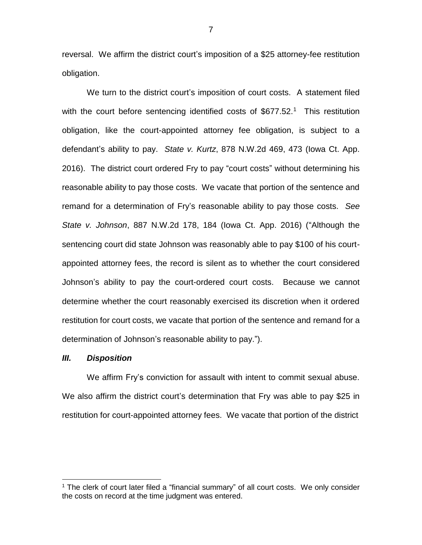reversal. We affirm the district court's imposition of a \$25 attorney-fee restitution obligation.

We turn to the district court's imposition of court costs. A statement filed with the court before sentencing identified costs of  $$677.52<sup>1</sup>$  This restitution obligation, like the court-appointed attorney fee obligation, is subject to a defendant's ability to pay. *State v. Kurtz*, 878 N.W.2d 469, 473 (Iowa Ct. App. 2016). The district court ordered Fry to pay "court costs" without determining his reasonable ability to pay those costs. We vacate that portion of the sentence and remand for a determination of Fry's reasonable ability to pay those costs. *See State v. Johnson*, 887 N.W.2d 178, 184 (Iowa Ct. App. 2016) ("Although the sentencing court did state Johnson was reasonably able to pay \$100 of his courtappointed attorney fees, the record is silent as to whether the court considered Johnson's ability to pay the court-ordered court costs. Because we cannot determine whether the court reasonably exercised its discretion when it ordered restitution for court costs, we vacate that portion of the sentence and remand for a determination of Johnson's reasonable ability to pay.").

#### *III. Disposition*

 $\overline{a}$ 

We affirm Fry's conviction for assault with intent to commit sexual abuse. We also affirm the district court's determination that Fry was able to pay \$25 in restitution for court-appointed attorney fees. We vacate that portion of the district

<sup>&</sup>lt;sup>1</sup> The clerk of court later filed a "financial summary" of all court costs. We only consider the costs on record at the time judgment was entered.